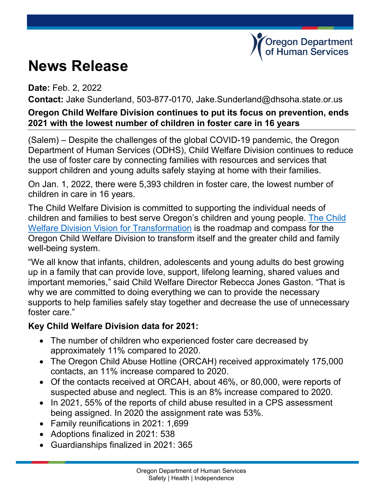# **News Release**

**Date:** Feb. 2, 2022

**Contact:** Jake Sunderland, 503-877-0170, Jake.Sunderland@dhsoha.state.or.us

**Oregon Department Human Services** 

#### **Oregon Child Welfare Division continues to put its focus on prevention, ends 2021 with the lowest number of children in foster care in 16 years**

(Salem) – Despite the challenges of the global COVID-19 pandemic, the Oregon Department of Human Services (ODHS), Child Welfare Division continues to reduce the use of foster care by connecting families with resources and services that support children and young adults safely staying at home with their families.

On Jan. 1, 2022, there were 5,393 children in foster care, the lowest number of children in care in 16 years.

The Child Welfare Division is committed to supporting the individual needs of children and families to best serve Oregon's children and young people. [The Child](https://www.oregon.gov/dhs/CHILDREN/CWTransformation/Pages/index.aspx)  [Welfare Division Vision for Transformation](https://www.oregon.gov/dhs/CHILDREN/CWTransformation/Pages/index.aspx) is the roadmap and compass for the Oregon Child Welfare Division to transform itself and the greater child and family well-being system.

"We all know that infants, children, adolescents and young adults do best growing up in a family that can provide love, support, lifelong learning, shared values and important memories," said Child Welfare Director Rebecca Jones Gaston. "That is why we are committed to doing everything we can to provide the necessary supports to help families safely stay together and decrease the use of unnecessary foster care."

## **Key Child Welfare Division data for 2021:**

- The number of children who experienced foster care decreased by approximately 11% compared to 2020.
- The Oregon Child Abuse Hotline (ORCAH) received approximately 175,000 contacts, an 11% increase compared to 2020.
- Of the contacts received at ORCAH, about 46%, or 80,000, were reports of suspected abuse and neglect. This is an 8% increase compared to 2020.
- In 2021, 55% of the reports of child abuse resulted in a CPS assessment being assigned. In 2020 the assignment rate was 53%.
- Family reunifications in 2021: 1,699
- Adoptions finalized in 2021: 538
- Guardianships finalized in 2021: 365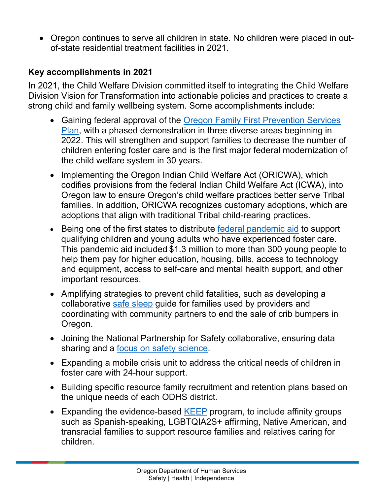• Oregon continues to serve all children in state. No children were placed in outof-state residential treatment facilities in 2021.

#### **Key accomplishments in 2021**

In 2021, the Child Welfare Division committed itself to integrating the Child Welfare Division Vision for Transformation into actionable policies and practices to create a strong child and family wellbeing system. Some accomplishments include:

- Gaining federal approval of the [Oregon Family First Prevention Services](https://www.oregon.gov/dhs/DHSNEWS/NewsReleases/Oregon-Family-First-2021-04-01.pdf)  [Plan,](https://www.oregon.gov/dhs/DHSNEWS/NewsReleases/Oregon-Family-First-2021-04-01.pdf) with a phased demonstration in three diverse areas beginning in 2022. This will strengthen and support families to decrease the number of children entering foster care and is the first major federal modernization of the child welfare system in 30 years.
- Implementing the Oregon Indian Child Welfare Act (ORICWA), which codifies provisions from the federal Indian Child Welfare Act (ICWA), into Oregon law to ensure Oregon's child welfare practices better serve Tribal families. In addition, ORICWA recognizes customary adoptions, which are adoptions that align with traditional Tribal child-rearing practices.
- Being one of the first states to distribute [federal pandemic aid](https://www.oregon.gov/dhs/DHSNEWS/NewsReleases/Cash%20assistance%20%20to%20available%20young%20adults.pdf) to support qualifying children and young adults who have experienced foster care. This pandemic aid included \$1.3 million to more than 300 young people to help them pay for higher education, housing, bills, access to technology and equipment, access to self-care and mental health support, and other important resources.
- Amplifying strategies to prevent child fatalities, such as developing a collaborative [safe sleep](https://www.oregon.gov/dhs/DHSNEWS/NewsReleases/Safe-Sleep-2021.pdf) guide for families used by providers and coordinating with community partners to end the sale of crib bumpers in Oregon.
- Joining the National Partnership for Safety collaborative, ensuring data sharing and a [focus on safety science.](https://www.oregon.gov/dhs/DHSNEWS/NewsReleases/NPSC-PR-2021.pdf)
- Expanding a mobile crisis unit to address the critical needs of children in foster care with 24-hour support.
- Building specific resource family recruitment and retention plans based on the unique needs of each ODHS district.
- Expanding the evidence-based [KEEP](https://www.keepfostering.org/oregon/) program, to include affinity groups such as Spanish-speaking, LGBTQIA2S+ affirming, Native American, and transracial families to support resource families and relatives caring for children.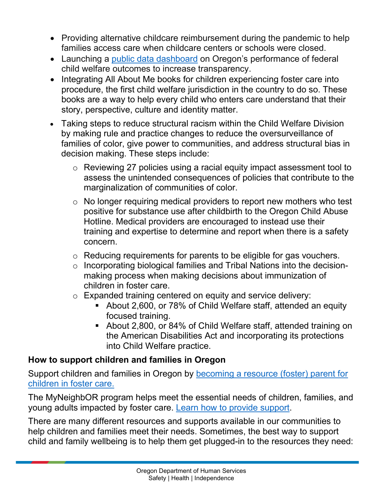- Providing alternative childcare reimbursement during the pandemic to help families access care when childcare centers or schools were closed.
- Launching a [public data dashboard](https://www.oregon.gov/dhs/Data/Pages/CW-FPMs.aspx#gi) on Oregon's performance of federal child welfare outcomes to increase transparency.
- Integrating [All About Me books](https://www.orparc.org/resources/all-about-me) for children experiencing foster care into procedure, the first child welfare jurisdiction in the country to do so. These books are a way to help every child who enters care understand that their story, perspective, culture and identity matter.
- Taking steps to reduce structural racism within the Child Welfare Division by making rule and practice changes to reduce the oversurveillance of families of color, give power to communities, and address structural bias in decision making. These steps include:
	- o Reviewing 27 policies using a racial equity impact assessment tool to assess the unintended consequences of policies that contribute to the marginalization of communities of color.
	- $\circ$  No longer requiring medical providers to report new mothers who test positive for substance use after childbirth to the Oregon Child Abuse Hotline. Medical providers are encouraged to instead use their training and expertise to determine and report when there is a safety concern.
	- o Reducing requirements for parents to be eligible for gas vouchers.
	- o Incorporating biological families and Tribal Nations into the decisionmaking process when making decisions about immunization of children in foster care.
	- o Expanded training centered on equity and service delivery:
		- About 2,600, or 78% of Child Welfare staff, attended an equity focused training.
		- About 2,800, or 84% of Child Welfare staff, attended training on the American Disabilities Act and incorporating its protections into Child Welfare practice.

## **How to support children and families in Oregon**

Support children and families in Oregon by [becoming a resource \(foster\) parent](https://www.oregon.gov/dhs/CHILDREN/FOSTERCARE/Pages/become-fosterparent.aspx) for [children in foster care.](https://www.oregon.gov/dhs/CHILDREN/FOSTERCARE/Pages/become-fosterparent.aspx)

The MyNeighbOR program helps meet the essential needs of children, families, and young adults impacted by foster care. [Learn how to provide support.](https://everychildoregon.org/myneighbor/)

There are many different resources and supports available in our communities to help children and families meet their needs. Sometimes, the best way to support child and family wellbeing is to help them get plugged-in to the resources they need: